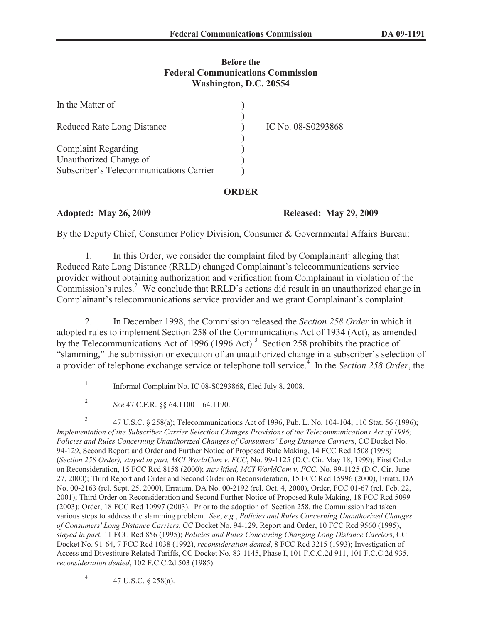### **Before the Federal Communications Commission Washington, D.C. 20554**

| In the Matter of                        |                    |
|-----------------------------------------|--------------------|
| <b>Reduced Rate Long Distance</b>       | IC No. 08-S0293868 |
| <b>Complaint Regarding</b>              |                    |
| Unauthorized Change of                  |                    |
| Subscriber's Telecommunications Carrier |                    |

# **ORDER**

# **Adopted: May 26, 2009 Released: May 29, 2009**

By the Deputy Chief, Consumer Policy Division, Consumer & Governmental Affairs Bureau:

1. In this Order, we consider the complaint filed by Complainant<sup>1</sup> alleging that Reduced Rate Long Distance (RRLD) changed Complainant's telecommunications service provider without obtaining authorization and verification from Complainant in violation of the Commission's rules.<sup>2</sup> We conclude that RRLD's actions did result in an unauthorized change in Complainant's telecommunications service provider and we grant Complainant's complaint.

2. In December 1998, the Commission released the *Section 258 Order* in which it adopted rules to implement Section 258 of the Communications Act of 1934 (Act), as amended by the Telecommunications Act of 1996 (1996 Act).<sup>3</sup> Section 258 prohibits the practice of "slamming," the submission or execution of an unauthorized change in a subscriber's selection of a provider of telephone exchange service or telephone toll service.<sup>4</sup> In the *Section 258 Order*, the

3 47 U.S.C. § 258(a); Telecommunications Act of 1996, Pub. L. No. 104-104, 110 Stat. 56 (1996); *Implementation of the Subscriber Carrier Selection Changes Provisions of the Telecommunications Act of 1996; Policies and Rules Concerning Unauthorized Changes of Consumers' Long Distance Carriers*, CC Docket No. 94-129, Second Report and Order and Further Notice of Proposed Rule Making, 14 FCC Rcd 1508 (1998) (*Section 258 Order), stayed in part, MCI WorldCom v. FCC*, No. 99-1125 (D.C. Cir. May 18, 1999); First Order on Reconsideration, 15 FCC Rcd 8158 (2000); *stay lifted, MCI WorldCom v. FCC*, No. 99-1125 (D.C. Cir. June 27, 2000); Third Report and Order and Second Order on Reconsideration, 15 FCC Rcd 15996 (2000), Errata, DA No. 00-2163 (rel. Sept. 25, 2000), Erratum, DA No. 00-2192 (rel. Oct. 4, 2000), Order, FCC 01-67 (rel. Feb. 22, 2001); Third Order on Reconsideration and Second Further Notice of Proposed Rule Making, 18 FCC Rcd 5099 (2003); Order, 18 FCC Rcd 10997 (2003). Prior to the adoption of Section 258, the Commission had taken various steps to address the slamming problem. *See*, *e.g.*, *Policies and Rules Concerning Unauthorized Changes of Consumers' Long Distance Carriers*, CC Docket No. 94-129, Report and Order, 10 FCC Rcd 9560 (1995), *stayed in part*, 11 FCC Rcd 856 (1995); *Policies and Rules Concerning Changing Long Distance Carrier*s, CC Docket No. 91-64, 7 FCC Rcd 1038 (1992), *reconsideration denied*, 8 FCC Rcd 3215 (1993); Investigation of Access and Divestiture Related Tariffs, CC Docket No. 83-1145, Phase I, 101 F.C.C.2d 911, 101 F.C.C.2d 935, *reconsideration denied*, 102 F.C.C.2d 503 (1985).

4 47 U.S.C. § 258(a).

<sup>1</sup> Informal Complaint No. IC 08-S0293868, filed July 8, 2008.

<sup>2</sup> *See* 47 C.F.R. §§ 64.1100 – 64.1190.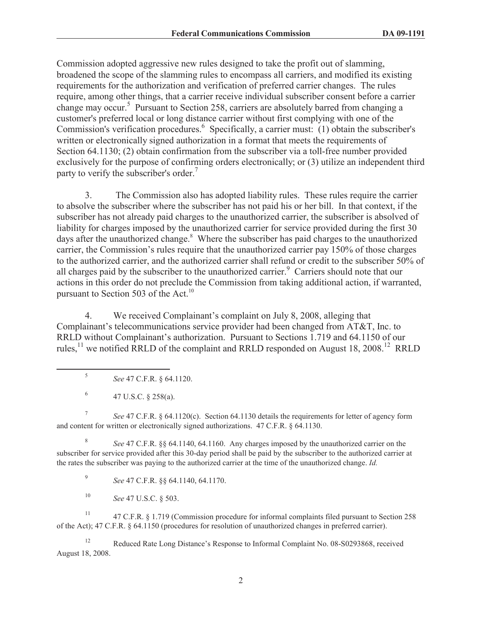Commission adopted aggressive new rules designed to take the profit out of slamming, broadened the scope of the slamming rules to encompass all carriers, and modified its existing requirements for the authorization and verification of preferred carrier changes. The rules require, among other things, that a carrier receive individual subscriber consent before a carrier change may occur.<sup>5</sup> Pursuant to Section 258, carriers are absolutely barred from changing a customer's preferred local or long distance carrier without first complying with one of the Commission's verification procedures.<sup>6</sup> Specifically, a carrier must: (1) obtain the subscriber's written or electronically signed authorization in a format that meets the requirements of Section 64.1130; (2) obtain confirmation from the subscriber via a toll-free number provided exclusively for the purpose of confirming orders electronically; or (3) utilize an independent third party to verify the subscriber's order.<sup>7</sup>

3. The Commission also has adopted liability rules. These rules require the carrier to absolve the subscriber where the subscriber has not paid his or her bill. In that context, if the subscriber has not already paid charges to the unauthorized carrier, the subscriber is absolved of liability for charges imposed by the unauthorized carrier for service provided during the first 30 days after the unauthorized change.<sup>8</sup> Where the subscriber has paid charges to the unauthorized carrier, the Commission's rules require that the unauthorized carrier pay 150% of those charges to the authorized carrier, and the authorized carrier shall refund or credit to the subscriber 50% of all charges paid by the subscriber to the unauthorized carrier.<sup>9</sup> Carriers should note that our actions in this order do not preclude the Commission from taking additional action, if warranted, pursuant to Section 503 of the Act.<sup>10</sup>

4. We received Complainant's complaint on July 8, 2008, alleging that Complainant's telecommunications service provider had been changed from AT&T, Inc. to RRLD without Complainant's authorization. Pursuant to Sections 1.719 and 64.1150 of our rules, <sup>11</sup> we notified RRLD of the complaint and RRLD responded on August 18, 2008.<sup>12</sup> RRLD

5 *See* 47 C.F.R. § 64.1120.

7 *See* 47 C.F.R. § 64.1120(c). Section 64.1130 details the requirements for letter of agency form and content for written or electronically signed authorizations. 47 C.F.R. § 64.1130.

8 *See* 47 C.F.R. §§ 64.1140, 64.1160. Any charges imposed by the unauthorized carrier on the subscriber for service provided after this 30-day period shall be paid by the subscriber to the authorized carrier at the rates the subscriber was paying to the authorized carrier at the time of the unauthorized change. *Id.*

9 *See* 47 C.F.R. §§ 64.1140, 64.1170.

<sup>10</sup> *See* 47 U.S.C. § 503.

<sup>11</sup> 47 C.F.R. § 1.719 (Commission procedure for informal complaints filed pursuant to Section 258 of the Act); 47 C.F.R. § 64.1150 (procedures for resolution of unauthorized changes in preferred carrier).

<sup>12</sup> Reduced Rate Long Distance's Response to Informal Complaint No. 08-S0293868, received August 18, 2008.

<sup>6</sup> 47 U.S.C. § 258(a).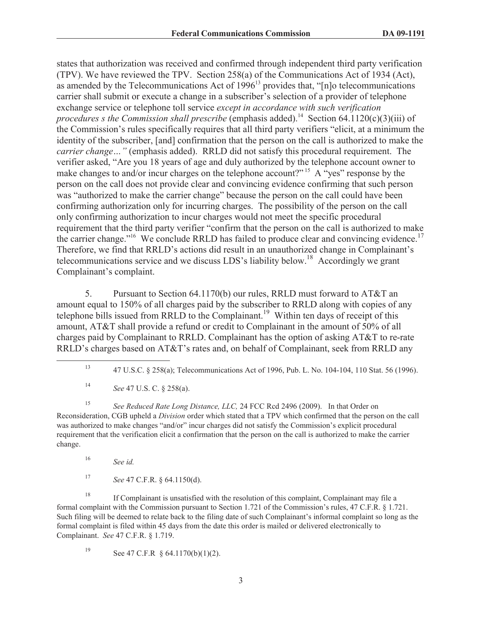states that authorization was received and confirmed through independent third party verification (TPV). We have reviewed the TPV. Section 258(a) of the Communications Act of 1934 (Act), as amended by the Telecommunications Act of 1996<sup>13</sup> provides that, "[n]o telecommunications carrier shall submit or execute a change in a subscriber's selection of a provider of telephone exchange service or telephone toll service *except in accordance with such verification procedures s the Commission shall prescribe* (emphasis added).<sup>14</sup> Section 64.1120(c)(3)(iii) of the Commission's rules specifically requires that all third party verifiers "elicit, at a minimum the identity of the subscriber, [and] confirmation that the person on the call is authorized to make the *carrier change…"* (emphasis added). RRLD did not satisfy this procedural requirement. The verifier asked, "Are you 18 years of age and duly authorized by the telephone account owner to make changes to and/or incur charges on the telephone account?"<sup>15</sup> A "yes" response by the person on the call does not provide clear and convincing evidence confirming that such person was "authorized to make the carrier change" because the person on the call could have been confirming authorization only for incurring charges. The possibility of the person on the call only confirming authorization to incur charges would not meet the specific procedural requirement that the third party verifier "confirm that the person on the call is authorized to make the carrier change."<sup>16</sup> We conclude RRLD has failed to produce clear and convincing evidence.<sup>17</sup> Therefore, we find that RRLD's actions did result in an unauthorized change in Complainant's telecommunications service and we discuss LDS's liability below.<sup>18</sup> Accordingly we grant Complainant's complaint.

5. Pursuant to Section 64.1170(b) our rules, RRLD must forward to AT&T an amount equal to 150% of all charges paid by the subscriber to RRLD along with copies of any telephone bills issued from RRLD to the Complainant.<sup>19</sup> Within ten days of receipt of this amount, AT&T shall provide a refund or credit to Complainant in the amount of 50% of all charges paid by Complainant to RRLD. Complainant has the option of asking AT&T to re-rate RRLD's charges based on AT&T's rates and, on behalf of Complainant, seek from RRLD any

<sup>15</sup> *See Reduced Rate Long Distance, LLC,* 24 FCC Rcd 2496 (2009). In that Order on Reconsideration, CGB upheld a *Division* order which stated that a TPV which confirmed that the person on the call was authorized to make changes "and/or" incur charges did not satisfy the Commission's explicit procedural requirement that the verification elicit a confirmation that the person on the call is authorized to make the carrier change.

- <sup>16</sup> *See id.*
- <sup>17</sup> *See* 47 C.F.R. § 64.1150(d).

<sup>18</sup> If Complainant is unsatisfied with the resolution of this complaint, Complainant may file a formal complaint with the Commission pursuant to Section 1.721 of the Commission's rules, 47 C.F.R. § 1.721. Such filing will be deemed to relate back to the filing date of such Complainant's informal complaint so long as the formal complaint is filed within 45 days from the date this order is mailed or delivered electronically to Complainant. *See* 47 C.F.R. § 1.719.

19 See 47 C.F.R  $§$  64.1170(b)(1)(2).

<sup>13</sup> 47 U.S.C. § 258(a); Telecommunications Act of 1996, Pub. L. No. 104-104, 110 Stat. 56 (1996).

<sup>14</sup> *See* 47 U.S. C. § 258(a).